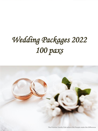# *Wedding Packages 2022 100 paxs*

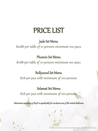## PRICE LIST

Jade Set Menu

\$1088 per table of 10 persons minimum 100 paxs

Phoenix Set Menu

\$1188 per table of 10 persons minimum 100 paxs

Bollywood Set Menu

\$78 per pax with minimum of 100 persons

## Selamat Set Menu

\$78 per pax with minimum of 100 persons

Minimum spending of \$15K is applicable for exclusive use of the whole ballroom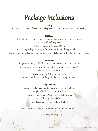## Package Inclusions

#### **Dining**

• A sumptuous choice of cuisine created specially by our culinary award winning chefs

#### **Beverage**

• Free flow of Soft Drinks and Chinese Tea during dining for up to 4 hours 1 x barrel of Carlsberg Beer

(For Jade, Phoenix & Bollywood Menu)

• Waiver of corkage charge for duty paid hard liquor brought in by host

• Elegant Champagne Fountain with own provision of champagne for stage toasting ceremony

#### **Decorations**

• Stage decorations, Pedestals stands along the aisle, table centrepieces, seat covers for all chairs and misty effect for your grand entrance\* (Special Rates accorded) • Special Set-up for VIP tables and chairs • A multi-tier dummy wedding cake for cake cutting ceremony

#### **Complimentary**

• Usage of Bridal Room for the newly weds for up to 4 hours • Ang Bao Box & Guest Signature Book • Parking coupons for 20% of confirmed attendance • 1 x VIP Lot for Bridal Car • LCD Projectors with Screen & AV System

• Round Trip Shuttle Bus for your guest from Mountbatten MRT Station to the club\*

\* Terms & Conditions Applys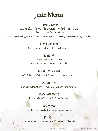

#### 玉凤楼五彩拼盆 生捞海蜇丝, 虾枣, 日式八爪鱼, 石榴球, 蜜汁叉烧

Jade Phoenix Combination Platter

Jelly Fish , Prawn Balls, Japanese Octopus, Crispy Seafood Money Bag, Barbecued Honey Glazed Pork

#### 红烧山珍海味翅

Braised Shark's Fin Broth with Assorted Seafood

#### 鸳鸯虾球

Prawns served in Duet style: (Wasabi-mayo Sauce & Cereal with Chilli)

### 蚝皇螺片冬菇西兰花

Braised Sliced Sea Whelk with Chinese Mushroom and Broccoli

### 姜茸蒸巴丁鱼

Steamed Pa Ding Fish with Minced Ginger and Spring Onions

### 脆皮吊烧鸡伴虾饼

Roasted whole Chicken with Prawn Crackers

### 海皇荷叶饭

Fried Rice with Assorted Seafood served in Lotus Leaf

## 百年好合

Hot Red Bean Cream with Lotus Seeds and Fresh Lily Bulbs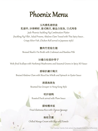## Phoenix Menu

玉凤楼乳猪拼盘 乳猪件,沙律鲜虾,泰式鲍贝,椒盐白饭鱼,日式鸡卷

Jade Phoenix Suckling Pig Combination Platter (Suckling Pig Fillet , Salad Prawns, Abalone Clam Tossed with Thai Spicy Sauce , Crispy Silver Fish ,Chicken Roll served in Japanese style)

#### 蟹肉竹笙烩生翅

Braised Shark's Fin Broth with Crabmeat and Bamboo Pith

#### XO酱白松菇炒带子

Wok-fried Scallops with Hoshimeji Mushrooms and Seasonal Greens in Spicy XO Sauce

#### 碧绿扒螺片鲍贝

Braised Abalone Clam with Sliced Sea Whelk and Spinach in Oyster Sauce

#### 清蒸海斑鱼

Steamed Sea Grouper in Hong Kong Style

#### 明炉烧鸭

Roasted Duck served with Plum Sauce

### 腊味糯米饭

Fried Glutinous Rice with Chinese Sausage

### 杨枝甘露

Chilled Mango Cream with Sago and Pomelo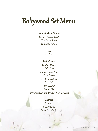## Bollywood Set Menu

#### Starter with Mint Chutney

Cumin Chicken Kebab Hara Bhara Kebab Vegetables Pakora

Salad

Aloo Chaat

#### Main Course

Chicken Masala Fish Methi Mutton Rogan Josh Palak Paneer Gobi 65 Cauliflower Makai Palak Mee Goreng Bryani Rice Acccompanied with Assorted Naan & Papad

#### **Desserts**

Rasmalai Gulab Jamun Fresh Fruit Platter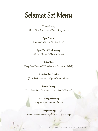## Selamat Set Menu

#### Tauhu Goreng

(Deep Fried Bean Curd W Sweet Spicy Sauce)

#### Ayam Herbal

(Indonesian Herbal Chicken Soup)

#### Ayam Parcik Kuah Kacang

(Grilled Chicken W Peanut Sauce)

#### Achar Ikan

(Deep Fried Seabass W Sweet & Sour Cucumber Relish)

#### Bugis Rendang Lembu

(Bugis Beef Simmered in Spicy Coconut Gravy)

#### Sambal Goreng

(Fried Bean Stick, Bean curd & Long Bean W Sambal)

#### Nasi Goreng Kampung

(Fragrance Anchovy Fried Rice)

#### Pengat Pisang

(Warm Coconut Banana with Gula Melaka & Sago)